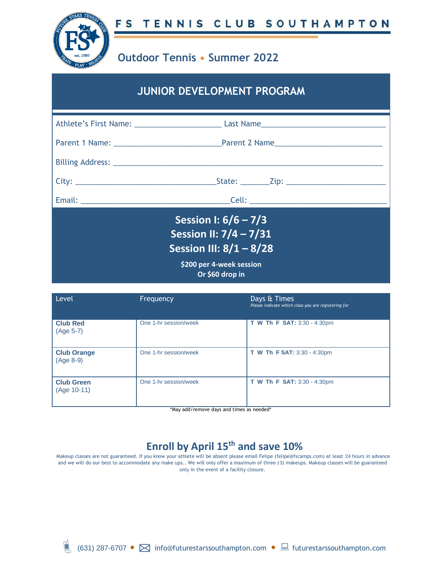

## **Outdoor Tennis • Summer 2022**

## **JUNIOR DEVELOPMENT PROGRAM**

| Session I: $6/6 - 7/3$<br>Session II: 7/4 - 7/31<br>Session III: 8/1 - 8/28<br>\$200 per 4-week session<br>Or \$60 drop in |  |
|----------------------------------------------------------------------------------------------------------------------------|--|

| Level                              | Frequency             | Days & Times<br>Please indicate which class you are registering for |
|------------------------------------|-----------------------|---------------------------------------------------------------------|
| <b>Club Red</b><br>(Age 5-7)       | One 1-hr session/week | <b>T W Th F SAT: 3:30 - 4:30pm</b>                                  |
| <b>Club Orange</b><br>(Age 8-9)    | One 1-hr session/week | T W Th F SAT: 3:30 - 4:30pm                                         |
| <b>Club Green</b><br>$(Age 10-11)$ | One 1-hr session/week | T W Th F SAT: 3:30 - 4:30pm                                         |

\*May add/remove days and times as needed\*

## **Enroll by April 15th and save 10%**

Makeup classes are not guaranteed. If you know your athlete will be absent please email Felipe (felipe@fscamps.com) at least 24 hours in advance and we will do our best to accommodate any make ups.. We will only offer a maximum of three (3) makeups. Makeup classes will be guaranteed only in the event of a facility closure.